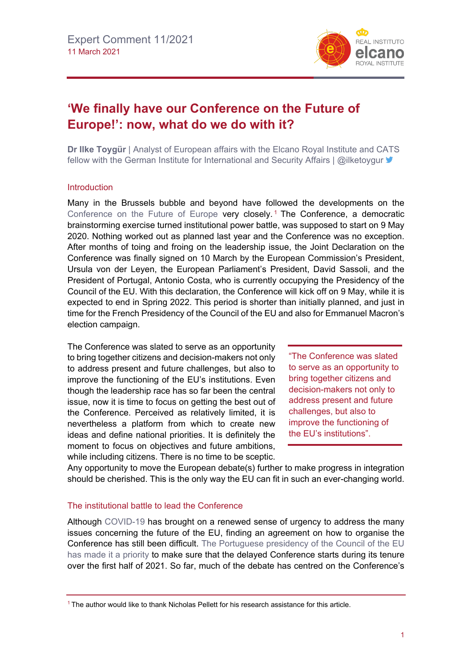

# **'We finally have our Conference on the Future of Europe!': now, what do we do with it?**

**Dr Ilke Toygür** | Analyst of European affairs with the Elcano Royal Institute and CATS fellow with the German Institute for International and Security Affairs | @ilketoygur

### Introduction

Many in the Brussels bubble and beyond have followed the developments on the Conference [on the Future of Europe](http://www.realinstitutoelcano.org/wps/portal/rielcano_en/contenido?WCM_GLOBAL_CONTEXT=/elcano/elcano_in/zonas_in/commentary-toygur-expectations-competences-and-power-understanding-dynamics-eu-institutions-tackling-covid-19-crisis) very closely.<sup>[1](#page-0-0)</sup> The Conference, a democratic brainstorming exercise turned institutional power battle, was supposed to start on 9 May 2020. Nothing worked out as planned last year and the Conference was no exception. After months of toing and froing on the leadership issue, the Joint Declaration on the Conference was finally signed on 10 March by the European Commission's President, Ursula von der Leyen, the European Parliament's President, David Sassoli, and the President of Portugal, Antonio Costa, who is currently occupying the Presidency of the Council of the EU. With this declaration, the Conference will kick off on 9 May, while it is expected to end in Spring 2022. This period is shorter than initially planned, and just in time for the French Presidency of the Council of the EU and also for Emmanuel Macron's election campaign.

The Conference was slated to serve as an opportunity to bring together citizens and decision-makers not only to address present and future challenges, but also to improve the functioning of the EU's institutions. Even though the leadership race has so far been the central issue, now it is time to focus on getting the best out of the Conference. Perceived as relatively limited, it is nevertheless a platform from which to create new ideas and define national priorities. It is definitely the moment to focus on objectives and future ambitions, while including citizens. There is no time to be sceptic.

"The Conference was slated to serve as an opportunity to bring together citizens and decision-makers not only to address present and future challenges, but also to improve the functioning of the EU's institutions".

Any opportunity to move the European debate(s) further to make progress in integration should be cherished. This is the only way the EU can fit in such an ever-changing world.

## The institutional battle to lead the Conference

Although [COVID-19](https://especiales.realinstitutoelcano.org/coronavirus/?lang=en) has brought on a renewed sense of urgency to address the many issues concerning the future of the EU, finding an agreement on how to organise the Conference has still been difficult. [The Portuguese presidency of the Council of the EU](https://www.2021portugal.eu/media/rohpisqf/portuguese-presidency-en.pdf)  [has made it a priority](https://www.2021portugal.eu/media/rohpisqf/portuguese-presidency-en.pdf) to make sure that the delayed Conference starts during its tenure over the first half of 2021. So far, much of the debate has centred on the Conference's

<span id="page-0-0"></span> $1$  The author would like to thank Nicholas Pellett for his research assistance for this article.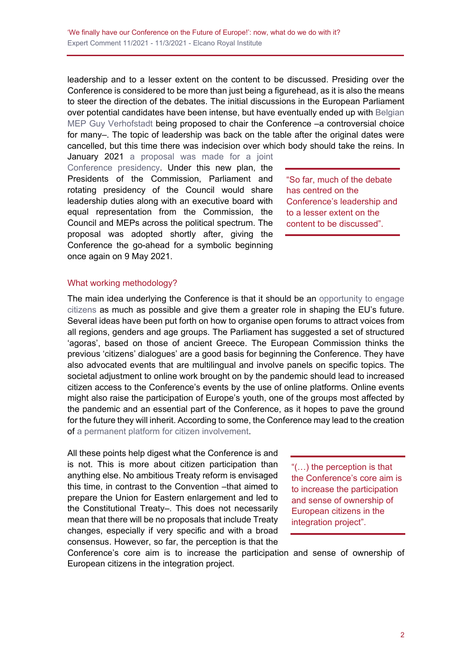leadership and to a lesser extent on the content to be discussed. Presiding over the Conference is considered to be more than just being a figurehead, as it is also the means to steer the direction of the debates. The initial discussions in the European Parliament over potential candidates have been intense, but have eventually ended up with [Belgian](https://www.euractiv.com/section/future-eu/news/guy-verhofstadt-ready-to-chair-citizen-consultations-on-europes-future/)  [MEP Guy Verhofstadt](https://www.euractiv.com/section/future-eu/news/guy-verhofstadt-ready-to-chair-citizen-consultations-on-europes-future/) being proposed to chair the Conference –a controversial choice for many–. The topic of leadership was back on the table after the original dates were cancelled, but this time there was indecision over which body should take the reins. In

January 2021 a proposal was made for a joint [Conference presidency.](https://www.politico.eu/article/eu-three-presidents-conference-on-future-of-europe/) Under this new plan, the Presidents of the Commission, Parliament and rotating presidency of the Council would share leadership duties along with an executive board with equal representation from the Commission, the Council and MEPs across the political spectrum. The proposal was adopted shortly after, giving the Conference the go-ahead for a symbolic beginning once again on 9 May 2021.

"So far, much of the debate has centred on the Conference's leadership and to a lesser extent on the content to be discussed".

### What working methodology?

The main idea underlying the Conference is that it should be an opportunity to engage [citizens](https://www.europarl.europa.eu/news/en/press-room/20200109IPR69906/citizens-to-be-the-cornerstone-of-the-conference-on-the-future-of-europe) as much as possible and give them a greater role in shaping the EU's future. Several ideas have been put forth on how to organise open forums to attract voices from all regions, genders and age groups. The Parliament has suggested a set of structured 'agoras', based on those of ancient Greece. The European Commission thinks the previous 'citizens' dialogues' are a good basis for beginning the Conference. They have also advocated events that are multilingual and involve panels on specific topics. The societal adjustment to online work brought on by the pandemic should lead to increased citizen access to the Conference's events by the use of online platforms. Online events might also raise the participation of Europe's youth, one of the groups most affected by the pandemic and an essential part of the Conference, as it hopes to pave the ground for the future they will inherit. According to some, the Conference may lead to the creation of [a permanent platform for citizen involvement.](https://www.theparliamentmagazine.eu/news/article/proposed-setup-for-conference-on-the-future-of-europe-under-fire)

All these points help digest what the Conference is and is not. This is more about citizen participation than anything else. No ambitious Treaty reform is envisaged this time, in contrast to the Convention –that aimed to prepare the Union for Eastern enlargement and led to the Constitutional Treaty–. This does not necessarily mean that there will be no proposals that include Treaty changes, especially if very specific and with a broad consensus. However, so far, the perception is that the

"(…) the perception is that the Conference's core aim is to increase the participation and sense of ownership of European citizens in the integration project".

Conference's core aim is to increase the participation and sense of ownership of European citizens in the integration project.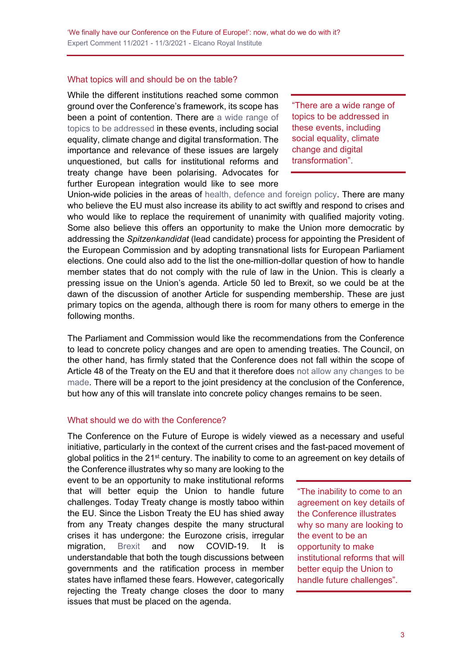#### What topics will and should be on the table?

While the different institutions reached some common ground over the Conference's framework, its scope has been a point of contention. There are a wide range of [topics to be addressed](https://ec.europa.eu/commission/presscorner/detail/en/ip_20_89) in these events, including social equality, climate change and digital transformation. The importance and relevance of these issues are largely unquestioned, but calls for institutional reforms and treaty change have been polarising. Advocates for further European integration would like to see more

"There are a wide range of topics to be addressed in these events, including social equality, climate change and digital transformation".

Union-wide policies in the areas of [health, defence and foreign policy.](https://www.europarl.europa.eu/news/en/headlines/priorities/future/20170219STO63247/future-of-europe-reforming-the-eu) There are many who believe the EU must also increase its ability to act swiftly and respond to crises and who would like to replace the requirement of unanimity with qualified majority voting. Some also believe this offers an opportunity to make the Union more democratic by addressing the *Spitzenkandidat* (lead candidate) process for appointing the President of the European Commission and by adopting transnational lists for European Parliament elections. One could also add to the list the one-million-dollar question of how to handle member states that do not comply with the rule of law in the Union. This is clearly a pressing issue on the Union's agenda. Article 50 led to Brexit, so we could be at the dawn of the discussion of another Article for suspending membership. These are just primary topics on the agenda, although there is room for many others to emerge in the following months.

The Parliament and Commission would like the recommendations from the Conference to lead to concrete policy changes and are open to amending treaties. The Council, on the other hand, has firmly stated that the Conference does not fall within the scope of Article 48 of the Treaty on the EU and that it therefore does [not allow any changes to be](https://www.politico.eu/article/eu-diplomats-set-to-greenlight-the-conference-on-the-future-of-europe-but-without-treaty-change/)  [made.](https://www.politico.eu/article/eu-diplomats-set-to-greenlight-the-conference-on-the-future-of-europe-but-without-treaty-change/) There will be a report to the joint presidency at the conclusion of the Conference, but how any of this will translate into concrete policy changes remains to be seen.

## What should we do with the Conference?

The Conference on the Future of Europe is widely viewed as a necessary and useful initiative, particularly in the context of the current crises and the fast-paced movement of global politics in the 21<sup>st</sup> century. The inability to come to an agreement on key details of

the Conference illustrates why so many are looking to the event to be an opportunity to make institutional reforms that will better equip the Union to handle future challenges. Today Treaty change is mostly taboo within the EU. Since the Lisbon Treaty the EU has shied away from any Treaty changes despite the many structural crises it has undergone: the Eurozone crisis, irregular migration, [Brexit](https://especiales.realinstitutoelcano.org/brexit/) and now COVID-19. It is understandable that both the tough discussions between governments and the ratification process in member states have inflamed these fears. However, categorically rejecting the Treaty change closes the door to many issues that must be placed on the agenda.

"The inability to come to an agreement on key details of the Conference illustrates why so many are looking to the event to be an opportunity to make institutional reforms that will better equip the Union to handle future challenges".